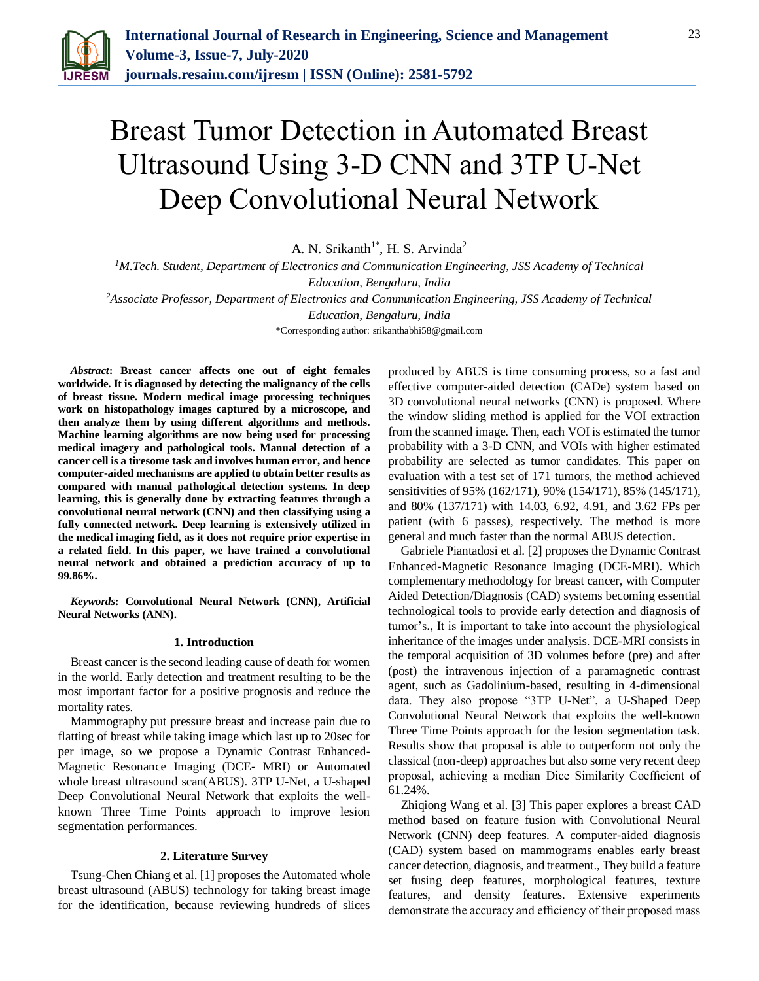

# Breast Tumor Detection in Automated Breast Ultrasound Using 3-D CNN and 3TP U-Net Deep Convolutional Neural Network

A. N. Srikanth<sup>1\*</sup>, H. S. Arvinda<sup>2</sup>

*<sup>1</sup>M.Tech. Student, Department of Electronics and Communication Engineering, JSS Academy of Technical Education, Bengaluru, India*

*<sup>2</sup>Associate Professor, Department of Electronics and Communication Engineering, JSS Academy of Technical* 

*Education, Bengaluru, India*

\*Corresponding author: srikanthabhi58@gmail.com

*Abstract***: Breast cancer affects one out of eight females worldwide. It is diagnosed by detecting the malignancy of the cells of breast tissue. Modern medical image processing techniques work on histopathology images captured by a microscope, and then analyze them by using different algorithms and methods. Machine learning algorithms are now being used for processing medical imagery and pathological tools. Manual detection of a cancer cell is a tiresome task and involves human error, and hence computer-aided mechanisms are applied to obtain better results as compared with manual pathological detection systems. In deep learning, this is generally done by extracting features through a convolutional neural network (CNN) and then classifying using a fully connected network. Deep learning is extensively utilized in the medical imaging field, as it does not require prior expertise in a related field. In this paper, we have trained a convolutional neural network and obtained a prediction accuracy of up to 99.86%.**

*Keywords***: Convolutional Neural Network (CNN), Artificial Neural Networks (ANN).**

#### **1. Introduction**

Breast cancer is the second leading cause of death for women in the world. Early detection and treatment resulting to be the most important factor for a positive prognosis and reduce the mortality rates.

Mammography put pressure breast and increase pain due to flatting of breast while taking image which last up to 20sec for per image, so we propose a Dynamic Contrast Enhanced-Magnetic Resonance Imaging (DCE- MRI) or Automated whole breast ultrasound scan(ABUS). 3TP U-Net, a U-shaped Deep Convolutional Neural Network that exploits the wellknown Three Time Points approach to improve lesion segmentation performances.

#### **2. Literature Survey**

Tsung-Chen Chiang et al. [1] proposes the Automated whole breast ultrasound (ABUS) technology for taking breast image for the identification, because reviewing hundreds of slices

produced by ABUS is time consuming process, so a fast and effective computer-aided detection (CADe) system based on 3D convolutional neural networks (CNN) is proposed. Where the window sliding method is applied for the VOI extraction from the scanned image. Then, each VOI is estimated the tumor probability with a 3-D CNN, and VOIs with higher estimated probability are selected as tumor candidates. This paper on evaluation with a test set of 171 tumors, the method achieved sensitivities of 95% (162/171), 90% (154/171), 85% (145/171), and 80% (137/171) with 14.03, 6.92, 4.91, and 3.62 FPs per patient (with 6 passes), respectively. The method is more general and much faster than the normal ABUS detection.

Gabriele Piantadosi et al. [2] proposes the Dynamic Contrast Enhanced-Magnetic Resonance Imaging (DCE-MRI). Which complementary methodology for breast cancer, with Computer Aided Detection/Diagnosis (CAD) systems becoming essential technological tools to provide early detection and diagnosis of tumor's., It is important to take into account the physiological inheritance of the images under analysis. DCE-MRI consists in the temporal acquisition of 3D volumes before (pre) and after (post) the intravenous injection of a paramagnetic contrast agent, such as Gadolinium-based, resulting in 4-dimensional data. They also propose "3TP U-Net", a U-Shaped Deep Convolutional Neural Network that exploits the well-known Three Time Points approach for the lesion segmentation task. Results show that proposal is able to outperform not only the classical (non-deep) approaches but also some very recent deep proposal, achieving a median Dice Similarity Coefficient of 61.24%.

Zhiqiong Wang et al. [3] This paper explores a breast CAD method based on feature fusion with Convolutional Neural Network (CNN) deep features. A computer-aided diagnosis (CAD) system based on mammograms enables early breast cancer detection, diagnosis, and treatment., They build a feature set fusing deep features, morphological features, texture features, and density features. Extensive experiments demonstrate the accuracy and efficiency of their proposed mass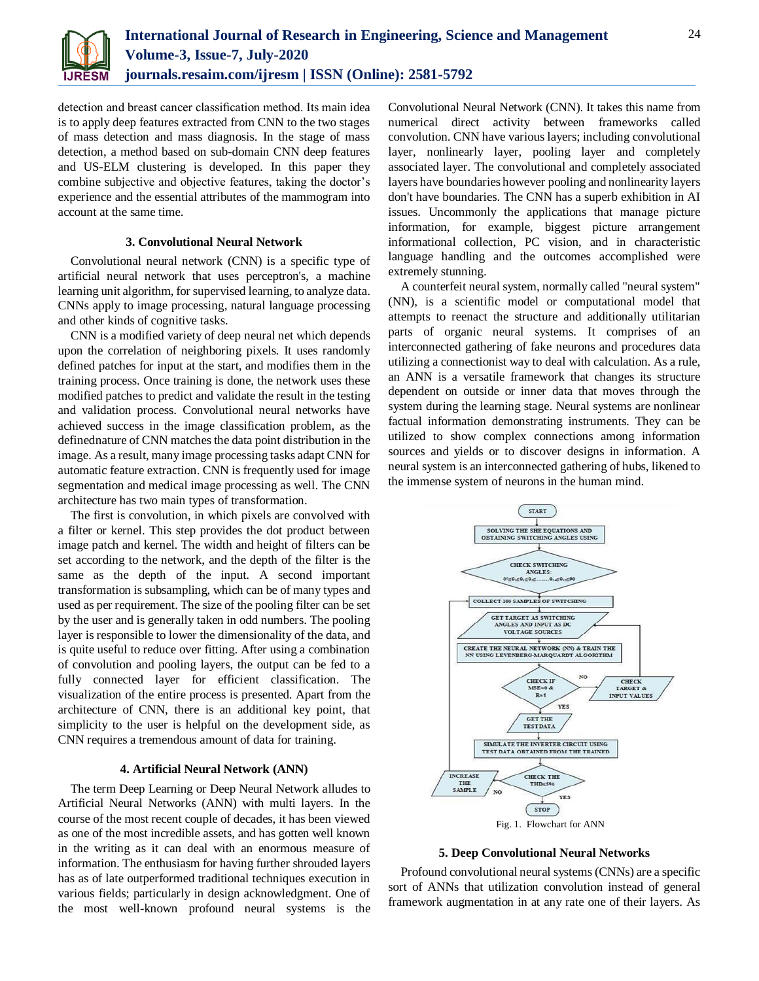

detection and breast cancer classification method. Its main idea is to apply deep features extracted from CNN to the two stages of mass detection and mass diagnosis. In the stage of mass detection, a method based on sub-domain CNN deep features and US-ELM clustering is developed. In this paper they combine subjective and objective features, taking the doctor's experience and the essential attributes of the mammogram into account at the same time.

### **3. Convolutional Neural Network**

Convolutional neural network (CNN) is a specific type of artificial neural network that uses perceptron's, a machine learning unit algorithm, for supervised learning, to analyze data. CNNs apply to image processing, natural language processing and other kinds of cognitive tasks.

CNN is a modified variety of deep neural net which depends upon the correlation of neighboring pixels. It uses randomly defined patches for input at the start, and modifies them in the training process. Once training is done, the network uses these modified patches to predict and validate the result in the testing and validation process. Convolutional neural networks have achieved success in the image classification problem, as the definednature of CNN matches the data point distribution in the image. As a result, many image processing tasks adapt CNN for automatic feature extraction. CNN is frequently used for image segmentation and medical image processing as well. The CNN architecture has two main types of transformation.

The first is convolution, in which pixels are convolved with a filter or kernel. This step provides the dot product between image patch and kernel. The width and height of filters can be set according to the network, and the depth of the filter is the same as the depth of the input. A second important transformation is subsampling, which can be of many types and used as per requirement. The size of the pooling filter can be set by the user and is generally taken in odd numbers. The pooling layer is responsible to lower the dimensionality of the data, and is quite useful to reduce over fitting. After using a combination of convolution and pooling layers, the output can be fed to a fully connected layer for efficient classification. The visualization of the entire process is presented. Apart from the architecture of CNN, there is an additional key point, that simplicity to the user is helpful on the development side, as CNN requires a tremendous amount of data for training.

## **4. Artificial Neural Network (ANN)**

The term Deep Learning or Deep Neural Network alludes to Artificial Neural Networks (ANN) with multi layers. In the course of the most recent couple of decades, it has been viewed as one of the most incredible assets, and has gotten well known in the writing as it can deal with an enormous measure of information. The enthusiasm for having further shrouded layers has as of late outperformed traditional techniques execution in various fields; particularly in design acknowledgment. One of the most well-known profound neural systems is the Convolutional Neural Network (CNN). It takes this name from numerical direct activity between frameworks called convolution. CNN have various layers; including convolutional layer, nonlinearly layer, pooling layer and completely associated layer. The convolutional and completely associated layers have boundaries however pooling and nonlinearity layers don't have boundaries. The CNN has a superb exhibition in AI issues. Uncommonly the applications that manage picture information, for example, biggest picture arrangement informational collection, PC vision, and in characteristic language handling and the outcomes accomplished were extremely stunning.

A counterfeit neural system, normally called "neural system" (NN), is a scientific model or computational model that attempts to reenact the structure and additionally utilitarian parts of organic neural systems. It comprises of an interconnected gathering of fake neurons and procedures data utilizing a connectionist way to deal with calculation. As a rule, an ANN is a versatile framework that changes its structure dependent on outside or inner data that moves through the system during the learning stage. Neural systems are nonlinear factual information demonstrating instruments. They can be utilized to show complex connections among information sources and yields or to discover designs in information. A neural system is an interconnected gathering of hubs, likened to the immense system of neurons in the human mind.





Profound convolutional neural systems (CNNs) are a specific sort of ANNs that utilization convolution instead of general framework augmentation in at any rate one of their layers. As